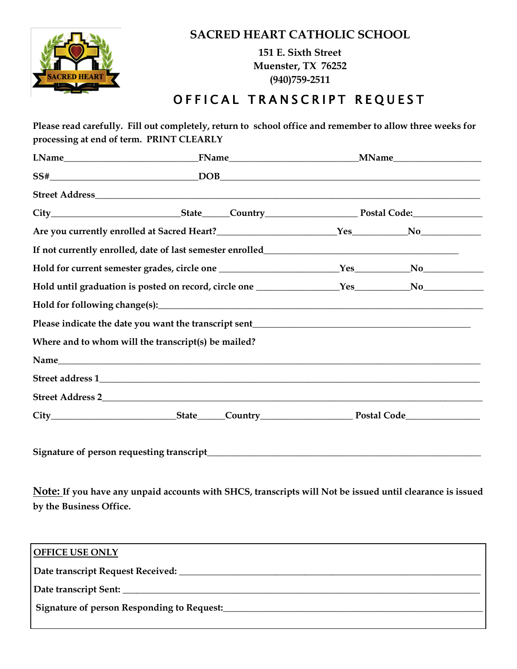

## **SACRED HEART CATHOLIC SCHOOL**

**151 E. Sixth Street Muenster, TX 76252 (940)759-2511**

## OFFICAL TRANSCRIPT REQUEST

|  | Where and to whom will the transcript(s) be mailed? |  |  |  |
|--|-----------------------------------------------------|--|--|--|
|  |                                                     |  |  |  |
|  |                                                     |  |  |  |
|  | Street Address 2                                    |  |  |  |
|  |                                                     |  |  |  |

**Signature of person requesting transcript\_\_\_\_\_\_\_\_\_\_\_\_\_\_\_\_\_\_\_\_\_\_\_\_\_\_\_\_\_\_\_\_\_\_\_\_\_\_\_\_\_\_\_\_\_\_\_\_\_\_\_\_\_\_\_\_\_\_\_**

**Note: If you have any unpaid accounts with SHCS, transcripts will Not be issued until clearance is issued by the Business Office.**

| <b>OFFICE USE ONLY</b>                     |  |  |  |
|--------------------------------------------|--|--|--|
|                                            |  |  |  |
|                                            |  |  |  |
| Signature of person Responding to Request: |  |  |  |
|                                            |  |  |  |